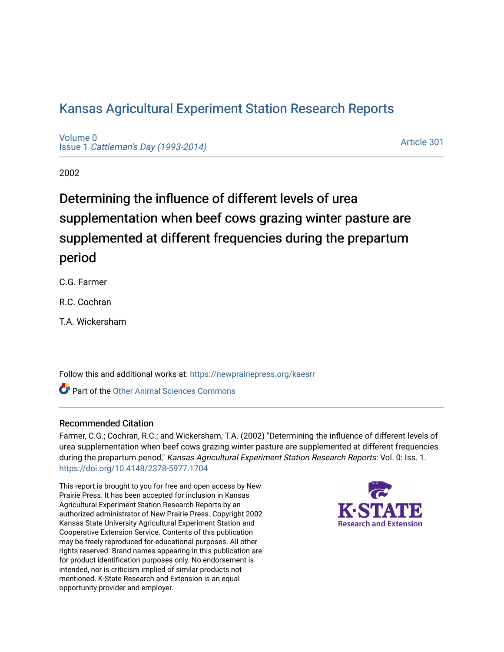# [Kansas Agricultural Experiment Station Research Reports](https://newprairiepress.org/kaesrr)

[Volume 0](https://newprairiepress.org/kaesrr/vol0) Issue 1 [Cattleman's Day \(1993-2014\)](https://newprairiepress.org/kaesrr/vol0/iss1) 

[Article 301](https://newprairiepress.org/kaesrr/vol0/iss1/301) 

2002

# Determining the influence of different levels of urea supplementation when beef cows grazing winter pasture are supplemented at different frequencies during the prepartum period

C.G. Farmer

R.C. Cochran

T.A. Wickersham

Follow this and additional works at: [https://newprairiepress.org/kaesrr](https://newprairiepress.org/kaesrr?utm_source=newprairiepress.org%2Fkaesrr%2Fvol0%2Fiss1%2F301&utm_medium=PDF&utm_campaign=PDFCoverPages) 

Part of the [Other Animal Sciences Commons](http://network.bepress.com/hgg/discipline/82?utm_source=newprairiepress.org%2Fkaesrr%2Fvol0%2Fiss1%2F301&utm_medium=PDF&utm_campaign=PDFCoverPages)

# Recommended Citation

Farmer, C.G.; Cochran, R.C.; and Wickersham, T.A. (2002) "Determining the influence of different levels of urea supplementation when beef cows grazing winter pasture are supplemented at different frequencies during the prepartum period," Kansas Agricultural Experiment Station Research Reports: Vol. 0: Iss. 1. <https://doi.org/10.4148/2378-5977.1704>

This report is brought to you for free and open access by New Prairie Press. It has been accepted for inclusion in Kansas Agricultural Experiment Station Research Reports by an authorized administrator of New Prairie Press. Copyright 2002 Kansas State University Agricultural Experiment Station and Cooperative Extension Service. Contents of this publication may be freely reproduced for educational purposes. All other rights reserved. Brand names appearing in this publication are for product identification purposes only. No endorsement is intended, nor is criticism implied of similar products not mentioned. K-State Research and Extension is an equal opportunity provider and employer.

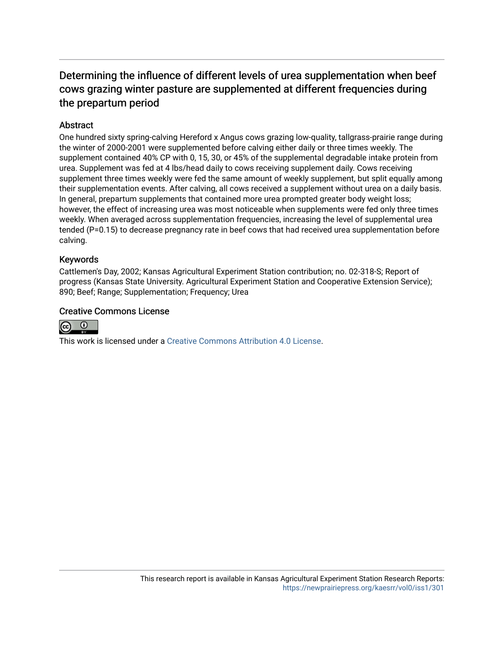# Determining the influence of different levels of urea supplementation when beef cows grazing winter pasture are supplemented at different frequencies during the prepartum period

# **Abstract**

One hundred sixty spring-calving Hereford x Angus cows grazing low-quality, tallgrass-prairie range during the winter of 2000-2001 were supplemented before calving either daily or three times weekly. The supplement contained 40% CP with 0, 15, 30, or 45% of the supplemental degradable intake protein from urea. Supplement was fed at 4 lbs/head daily to cows receiving supplement daily. Cows receiving supplement three times weekly were fed the same amount of weekly supplement, but split equally among their supplementation events. After calving, all cows received a supplement without urea on a daily basis. In general, prepartum supplements that contained more urea prompted greater body weight loss; however, the effect of increasing urea was most noticeable when supplements were fed only three times weekly. When averaged across supplementation frequencies, increasing the level of supplemental urea tended (P=0.15) to decrease pregnancy rate in beef cows that had received urea supplementation before calving.

## Keywords

Cattlemen's Day, 2002; Kansas Agricultural Experiment Station contribution; no. 02-318-S; Report of progress (Kansas State University. Agricultural Experiment Station and Cooperative Extension Service); 890; Beef; Range; Supplementation; Frequency; Urea

## Creative Commons License



This work is licensed under a [Creative Commons Attribution 4.0 License](https://creativecommons.org/licenses/by/4.0/).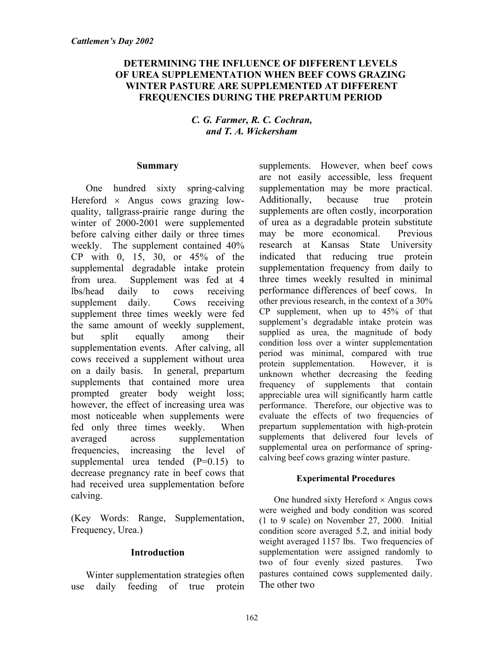# **DETERMINING THE INFLUENCE OF DIFFERENT LEVELS OF UREA SUPPLEMENTATION WHEN BEEF COWS GRAZING WINTER PASTURE ARE SUPPLEMENTED AT DIFFERENT FREQUENCIES DURING THE PREPARTUM PERIOD**

# *C. G. Farmer, R. C. Cochran, and T. A. Wickersham*

## **Summary**

One hundred sixty spring-calving Hereford  $\times$  Angus cows grazing lowquality, tallgrass-prairie range during the winter of 2000-2001 were supplemented before calving either daily or three times weekly. The supplement contained 40% CP with 0, 15, 30, or 45% of the supplemental degradable intake protein from urea. Supplement was fed at 4 lbs/head daily to cows receiving supplement daily. Cows receiving supplement three times weekly were fed the same amount of weekly supplement, but split equally among their supplementation events. After calving, all cows received a supplement without urea on a daily basis. In general, prepartum supplements that contained more urea prompted greater body weight loss; however, the effect of increasing urea was most noticeable when supplements were fed only three times weekly. When averaged across supplementation frequencies, increasing the level of supplemental urea tended  $(P=0.15)$  to decrease pregnancy rate in beef cows that had received urea supplementation before calving.

(Key Words: Range, Supplementation, Frequency, Urea.)

# **Introduction**

Winter supplementation strategies often use daily feeding of true protein

supplements. However, when beef cows are not easily accessible, less frequent supplementation may be more practical. Additionally, because true protein supplements are often costly, incorporation of urea as a degradable protein substitute may be more economical. Previous research at Kansas State University indicated that reducing true protein supplementation frequency from daily to three times weekly resulted in minimal performance differences of beef cows. In other previous research, in the context of a 30% CP supplement, when up to 45% of that supplement's degradable intake protein was supplied as urea, the magnitude of body condition loss over a winter supplementation period was minimal, compared with true protein supplementation. However, it is unknown whether decreasing the feeding frequency of supplements that contain appreciable urea will significantly harm cattle performance. Therefore, our objective was to evaluate the effects of two frequencies of prepartum supplementation with high-protein supplements that delivered four levels of supplemental urea on performance of springcalving beef cows grazing winter pasture.

#### **Experimental Procedures**

One hundred sixty Hereford  $\times$  Angus cows were weighed and body condition was scored (1 to 9 scale) on November 27, 2000. Initial condition score averaged 5.2, and initial body weight averaged 1157 lbs. Two frequencies of supplementation were assigned randomly to two of four evenly sized pastures. Two pastures contained cows supplemented daily. The other two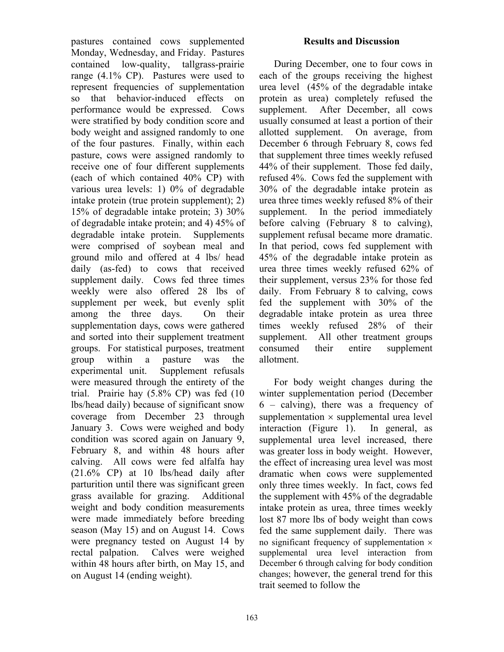pastures contained cows supplemented Monday, Wednesday, and Friday. Pastures contained low-quality, tallgrass-prairie range (4.1% CP). Pastures were used to represent frequencies of supplementation so that behavior-induced effects on performance would be expressed. Cows were stratified by body condition score and body weight and assigned randomly to one of the four pastures. Finally, within each pasture, cows were assigned randomly to receive one of four different supplements (each of which contained 40% CP) with various urea levels: 1) 0% of degradable intake protein (true protein supplement); 2) 15% of degradable intake protein; 3) 30% of degradable intake protein; and 4) 45% of degradable intake protein. Supplements were comprised of soybean meal and ground milo and offered at 4 lbs/ head daily (as-fed) to cows that received supplement daily. Cows fed three times weekly were also offered 28 lbs of supplement per week, but evenly split among the three days. On their supplementation days, cows were gathered and sorted into their supplement treatment groups. For statistical purposes, treatment group within a pasture was the experimental unit. Supplement refusals were measured through the entirety of the trial. Prairie hay (5.8% CP) was fed (10 lbs/head daily) because of significant snow coverage from December 23 through January 3. Cows were weighed and body condition was scored again on January 9, February 8, and within 48 hours after calving. All cows were fed alfalfa hay (21.6% CP) at 10 lbs/head daily after parturition until there was significant green grass available for grazing. Additional weight and body condition measurements were made immediately before breeding season (May 15) and on August 14. Cows were pregnancy tested on August 14 by rectal palpation. Calves were weighed within 48 hours after birth, on May 15, and on August 14 (ending weight).

# **Results and Discussion**

During December, one to four cows in each of the groups receiving the highest urea level (45% of the degradable intake protein as urea) completely refused the supplement. After December, all cows usually consumed at least a portion of their allotted supplement. On average, from December 6 through February 8, cows fed that supplement three times weekly refused 44% of their supplement. Those fed daily, refused 4%. Cows fed the supplement with 30% of the degradable intake protein as urea three times weekly refused 8% of their supplement. In the period immediately before calving (February 8 to calving), supplement refusal became more dramatic. In that period, cows fed supplement with 45% of the degradable intake protein as urea three times weekly refused 62% of their supplement, versus 23% for those fed daily. From February 8 to calving, cows fed the supplement with 30% of the degradable intake protein as urea three times weekly refused 28% of their supplement. All other treatment groups consumed their entire supplement allotment.

For body weight changes during the winter supplementation period (December 6 – calving), there was a frequency of supplementation  $\times$  supplemental urea level interaction (Figure 1). In general, as supplemental urea level increased, there was greater loss in body weight. However, the effect of increasing urea level was most dramatic when cows were supplemented only three times weekly. In fact, cows fed the supplement with 45% of the degradable intake protein as urea, three times weekly lost 87 more lbs of body weight than cows fed the same supplement daily. There was no significant frequency of supplementation  $\times$ supplemental urea level interaction from December 6 through calving for body condition changes; however, the general trend for this trait seemed to follow the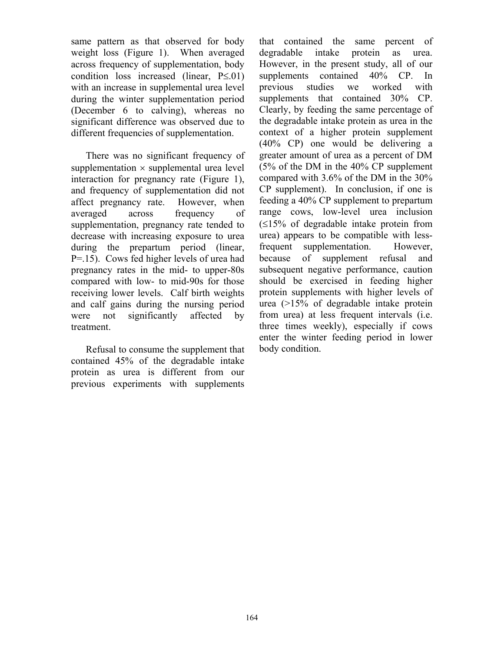same pattern as that observed for body weight loss (Figure 1). When averaged across frequency of supplementation, body condition loss increased (linear, P≤.01) with an increase in supplemental urea level during the winter supplementation period (December 6 to calving), whereas no significant difference was observed due to different frequencies of supplementation.

There was no significant frequency of supplementation  $\times$  supplemental urea level interaction for pregnancy rate (Figure 1), and frequency of supplementation did not affect pregnancy rate. However, when averaged across frequency of supplementation, pregnancy rate tended to decrease with increasing exposure to urea during the prepartum period (linear, P=.15). Cows fed higher levels of urea had pregnancy rates in the mid- to upper-80s compared with low- to mid-90s for those receiving lower levels. Calf birth weights and calf gains during the nursing period were not significantly affected by treatment.

Refusal to consume the supplement that contained 45% of the degradable intake protein as urea is different from our previous experiments with supplements that contained the same percent of degradable intake protein as urea. However, in the present study, all of our supplements contained 40% CP. In previous studies we worked with supplements that contained 30% CP. Clearly, by feeding the same percentage of the degradable intake protein as urea in the context of a higher protein supplement (40% CP) one would be delivering a greater amount of urea as a percent of DM (5% of the DM in the 40% CP supplement compared with 3.6% of the DM in the 30% CP supplement). In conclusion, if one is feeding a 40% CP supplement to prepartum range cows, low-level urea inclusion (≤15% of degradable intake protein from urea) appears to be compatible with lessfrequent supplementation. However, because of supplement refusal and subsequent negative performance, caution should be exercised in feeding higher protein supplements with higher levels of urea (>15% of degradable intake protein from urea) at less frequent intervals (i.e. three times weekly), especially if cows enter the winter feeding period in lower body condition.